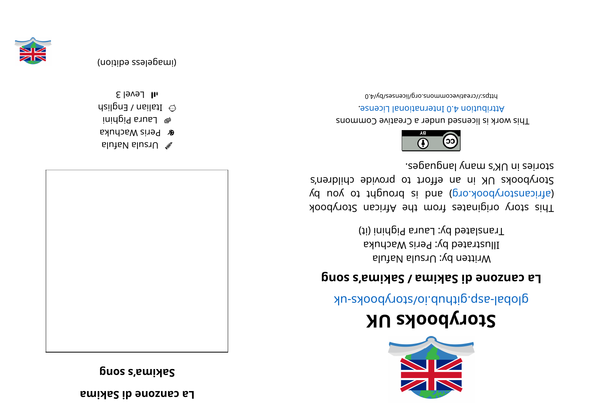**a mi kaSi d enoz nac aL**

**g buos s**, **ewiyes** 



alutaV sluziU  $\mathscr X$ **&** Peris Wachuka

 $\mu$  pui B ane piguini

 $\odot$  ltalian / English

 $1$  all Level 3



## **KUskoobyr otS**

global-aspookhotal approach and above -uk

## равить **видирия c a c d c d c d c d c d c d c d c d c d c d c d c d c d c d c d c d c d c d c d c d c d c d c d c d c**

Written by: Ursula Nafula Illustrated by: Peris Wachuka Translated by: Laura Pighini (it)

kood yoof a sing in and work set and work sid and a single single single single single single single (d uoy ot tripuor ai bna (pro. koodynotanaith) Storybooks UK in an effort to provide children's stories in UK's many languages.



This work is licensed under a Creative Commons . esnecial lanoit anternational License.

bttps://creativecommons.org/licenses/by/4.0



(imageless edition)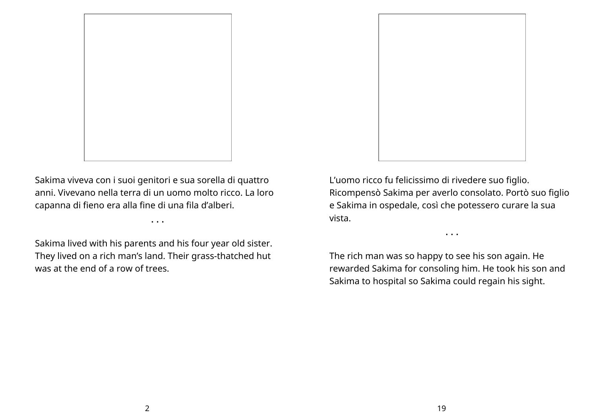

Sakima viveva con i suoi genitori e sua sorella di quattro anni. Vivevano nella terra di un uomo molto ricco. La loro capanna di fieno era alla fine di una fila d'alberi.

• • •

Sakima lived with his parents and his four year old sister. They lived on a rich man's land. Their grass-thatched hut was at the end of a row of trees.



L'uomo ricco fu felicissimo di rivedere suo figlio. Ricompensò Sakima per averlo consolato. Portò suo figlio e Sakima in ospedale, così che potessero curare la sua vista.

• • •

The rich man was so happy to see his son again. He rewarded Sakima for consoling him. He took his son and Sakima to hospital so Sakima could regain his sight.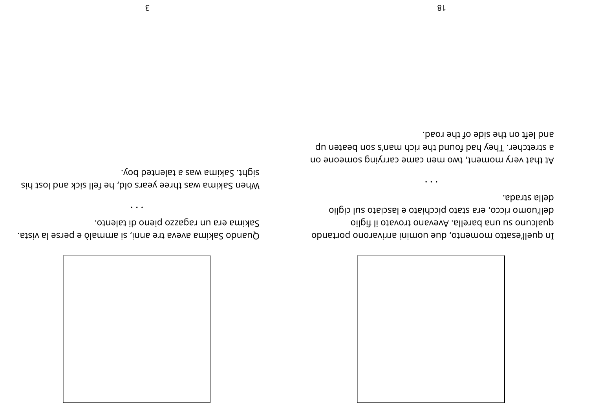

della strada. oilpis luz otaiszal e otaidosiq otatz are, osoin omou'lleb oilpiì li otsvont onsvevA .sllensd snu uz onublaup In quell'esatto momento, due uomini arrivarono portando

 $\cdots$ 

and left on the side of the road. a stretcher. They had found the rich man's son beaten up At that very moment, two men came carrying someone on

sakima era un ragazzo pieno di talento. Ouando Sakima aveva tre anni, si ammalò e perse la vista.

sight. Sakima was a talented boy. when Sakima was three years old, he fell sick and lost his

 $\bullet$   $\bullet$   $\bullet$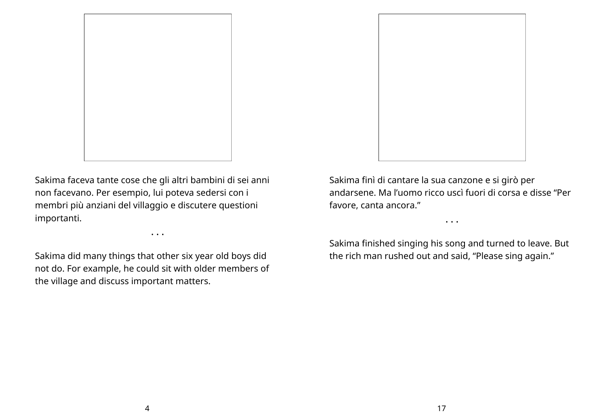

Sakima faceva tante cose che gli altri bambini di sei anni non facevano. Per esempio, lui poteva sedersi con i membri più anziani del villaggio e discutere questioni importanti.

• • •

Sakima did many things that other six year old boys did not do. For example, he could sit with older members of the village and discuss important matters.



Sakima finì di cantare la sua canzone e si girò per andarsene. Ma l'uomo ricco uscì fuori di corsa e disse "Per favore, canta ancora."

• • •

Sakima finished singing his song and turned to leave. But the rich man rushed out and said, "Please sing again."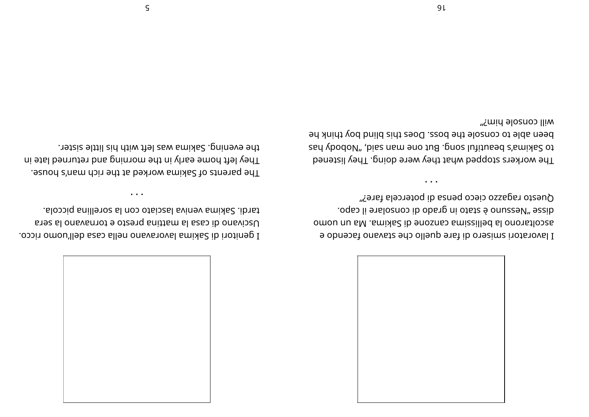

Questo ragazzo cieco pensa di potercela fare?" oqso li ensloznoo ib obsng ni otste é onuseeV" sezib. omou nu sM .smixs2 ib enosnes smizzilled sl ononstlopes 9 obnestorial smisero di fare quello che stavano facendo e

 $\cdots$ 

mill console him?" been able to console the boss. Does this blind boy think he to Sahiboda Seutiful song tang-panamas says they were a set they are The workers stopped what they were doing. They listened

tardi. Sakima veniva lasciato con la sorellina piccola. based is casa la mattina presto e tornavano la sera I genitori di Sakima lavoravano nella casa dell'uomo ricco.

 $\cdots$ 

the evening. Sakima was left with his little sister. They left home early in the morning and returned late in The parents of Sakima worked at the rich man's house.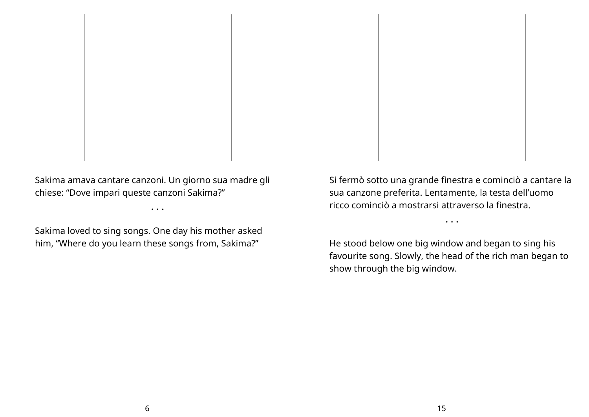

Sakima amava cantare canzoni. Un giorno sua madre gli chiese: "Dove impari queste canzoni Sakima?"

• • •

Sakima loved to sing songs. One day his mother asked him, "Where do you learn these songs from, Sakima?"

Si fermò sotto una grande finestra e cominciò a cantare la sua canzone preferita. Lentamente, la testa dell'uomo ricco cominciò a mostrarsi attraverso la finestra.

He stood below one big window and began to sing his favourite song. Slowly, the head of the rich man began to show through the big window.

• • •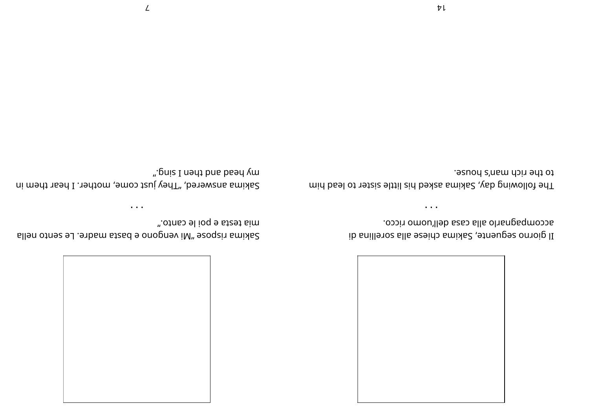

accompagnarlo alla casa dell'uomo ricco. Il giorno seguente, Sakima chiese alla sorellina di

to the rich man's house. The following day, Sakima asked his little sister to lead him

 $\bullet\hspace{0.4mm}\bullet\hspace{0.4mm}\bullet\hspace{0.4mm}\bullet\hspace{0.4mm}$ 

".pniz I nent bns bsen ym Sakima answered, "They just come, mother. I hear them in

 $\bullet$  . <br> <br> $\bullet$ 

sllen otnes ed. enbam stad e onopnev iM" ezoqzia smixlad

".otnso el ioq e satea sim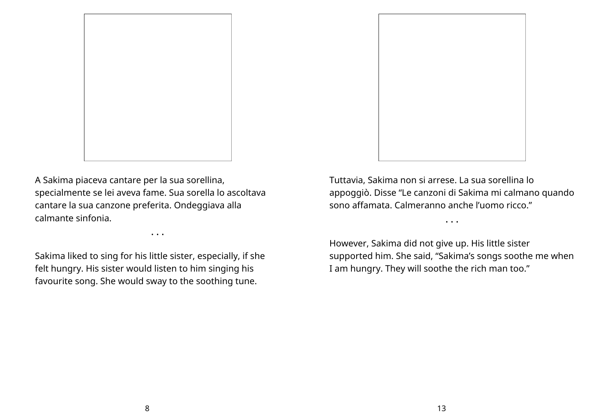

A Sakima piaceva cantare per la sua sorellina, specialmente se lei aveva fame. Sua sorella lo ascoltava cantare la sua canzone preferita. Ondeggiava alla calmante sinfonia.

• • •

Sakima liked to sing for his little sister, especially, if she felt hungry. His sister would listen to him singing his favourite song. She would sway to the soothing tune.

Tuttavia, Sakima non si arrese. La sua sorellina lo appoggiò. Disse "Le canzoni di Sakima mi calmano quando sono affamata. Calmeranno anche l'uomo ricco."

• • •

However, Sakima did not give up. His little sister supported him. She said, "Sakima's songs soothe me when I am hungry. They will soothe the rich man too."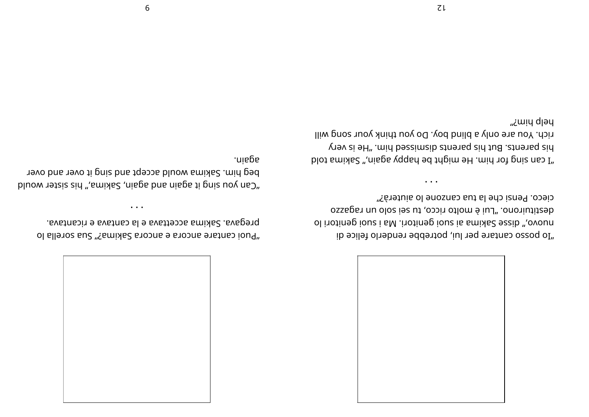

"ib posso cantare per lui, potrebbe renderlo felice di ol i rotinegi i a M. i roti negi ousi a suoi genitori lo oszagar nu olos ies ut osoin otlom é iul". onoriutit seb cieco. Pensi che la tua canzone lo aiuterà?"

• • •

"I can sing to tup te migure pa babie is not pusped in the post me to logical metal. yr ev si eH". mid bezeimaib at ner als the languard aid rich. You are only a blind boy. Do you think your song will "¿այų d<sub>l</sub>əų

"Puoi cantare ancora e ancora Sakima?" Sua sorella lo . Evat na e avat na la e vattence a mixale. Avaper que es

"Can you za is sid ", a mixed and she bas mi agati and wang binour and the plane not us beg him. Sakima would accept and sing it over and over .niegs

• • •